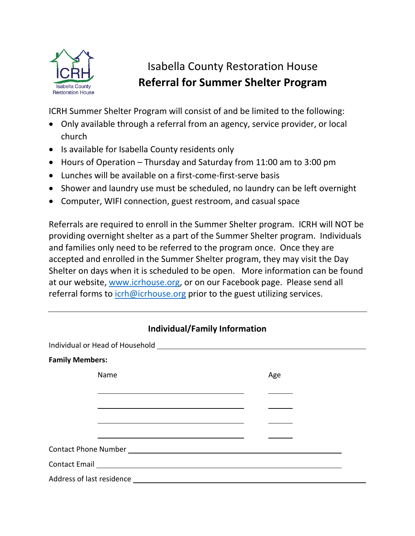

## Isabella County Restoration House **Referral for Summer Shelter Program**

ICRH Summer Shelter Program will consist of and be limited to the following:

- Only available through a referral from an agency, service provider, or local church
- Is available for Isabella County residents only
- Hours of Operation Thursday and Saturday from 11:00 am to 3:00 pm
- Lunches will be available on a first-come-first-serve basis
- Shower and laundry use must be scheduled, no laundry can be left overnight
- Computer, WIFI connection, guest restroom, and casual space

Referrals are required to enroll in the Summer Shelter program. ICRH will NOT be providing overnight shelter as a part of the Summer Shelter program. Individuals and families only need to be referred to the program once. Once they are accepted and enrolled in the Summer Shelter program, they may visit the Day Shelter on days when it is scheduled to be open. More information can be found at our website, [www.icrhouse.org,](http://www.icrhouse.org/) or on our Facebook page. Please send all referral forms to  $\frac{\text{icrh@} \text{icrhouse.org}}{\text{c} \text{r}}$  prior to the guest utilizing services.

| <b>Individual/Family Information</b>                                                                                   |     |
|------------------------------------------------------------------------------------------------------------------------|-----|
| Individual or Head of Household [1994] [1994] [1994] [1994] [1994] [1994] [1994] [1994] [1994] [1994] [1994] [         |     |
| <b>Family Members:</b>                                                                                                 |     |
| Name                                                                                                                   | Age |
|                                                                                                                        |     |
| <u> 1989 - Johann Barn, mars ann an t-Amhain ann an t-Amhain an t-Amhain an t-Amhain an t-Amhain an t-Amhain an t-</u> |     |
|                                                                                                                        |     |
| <u> 1989 - Johann Stein, mars an deutscher Stein und der Stein und der Stein und der Stein und der Stein und der</u>   |     |
|                                                                                                                        |     |
| Contact Email Lawrence and Contact Email                                                                               |     |
| Address of last residence _________                                                                                    |     |